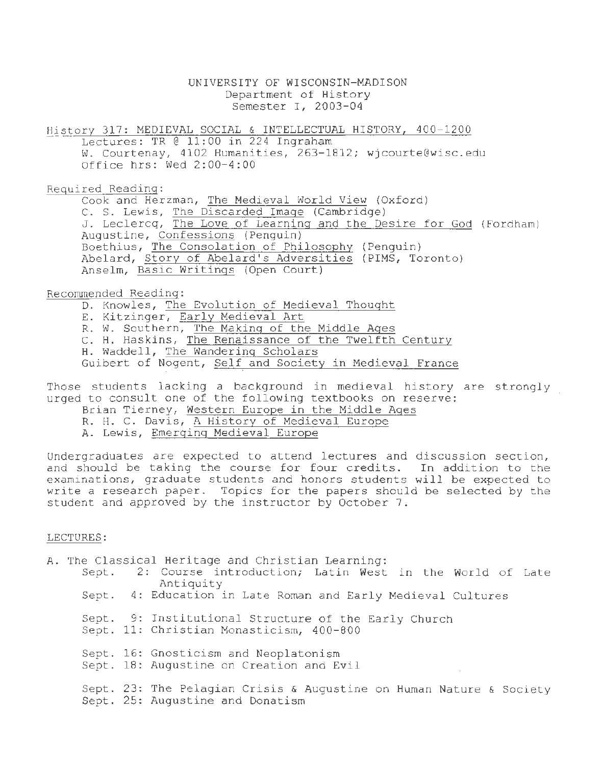# UNIVERSITY OF WISCONSIN-MADISON Department of History Semester I, 2D03-04

History 317: MEDIEVAL SOCIAL & INTELLECTUAL HISTORY, 400-1200 Lectures: TR @ 11:00 in 224 Ingraham w. Courtenay, 4102 Humanities, 263-1812; wjcourte@wisc.edu Office hrs: Wed 2:00-4:00

Required Reading:

Cook and Herzman, The Medieval World View (Oxford) C. S. Lewis, The Discarded Image (Cambridge) J. Leclercq, The Love of Learning and the Desire for God (Fordham) Augustine, Confessions (Penguin) Boethius, The Consolation of Philosophy (Penguin) Abelard, Story of Abelard's Adversities (PIMS, Toronto) Anselm, Basic Writings (Open Court)

Recommended Reading:

D. Knowles, The Evolution of Medieval Thought

- E. Kitzinger, Early Medieval Art
- R. W. Southern, The Making of the Middle Ages
- C. H. Haskins, The Renaissance of the Twelfth Century
- H. Waddell, The Wandering Scholars
- Guibert of Nogent, Self and Society in Medieval France

Those students lacking a background in medieval history are strongly urged to consult one of the following textbooks on reserve:

- Brian Tierney, Western Europe in the Middle Ages
- R. H. C. Davis, A History of Medieval Europe
- A. Lewis, Emerging Medieval Europe

Undergraduates are expected to attend lectures and discussion section, and should be taking the course for four credits. In addition to the examinations, graduate students and honors students will be expected to write a research paper. Topics for the papers should be selected by the student and approved by the instructor by October 7.

### LECTURES:

A. The Classical Heritage and Christian Learning:

- Sept. 2: Course introduction; Latin West in the World of Late Antiquity Sept. 4: Education in Late Roman and Early Medieval Cultures
	-
	- Sept. 9: Institutional Structure of the Early Church
	- Sept. 11: Christian Monasticism, 400-800
	- Sept. 16: Gnosticism and Neoplatonism
	- Sept. 18: Augustine on Creation and Evil
	- Sept. 23: The Pelagian Crisis & Augustine on Human Nature & Society Sept. 25: Augustine and Donatism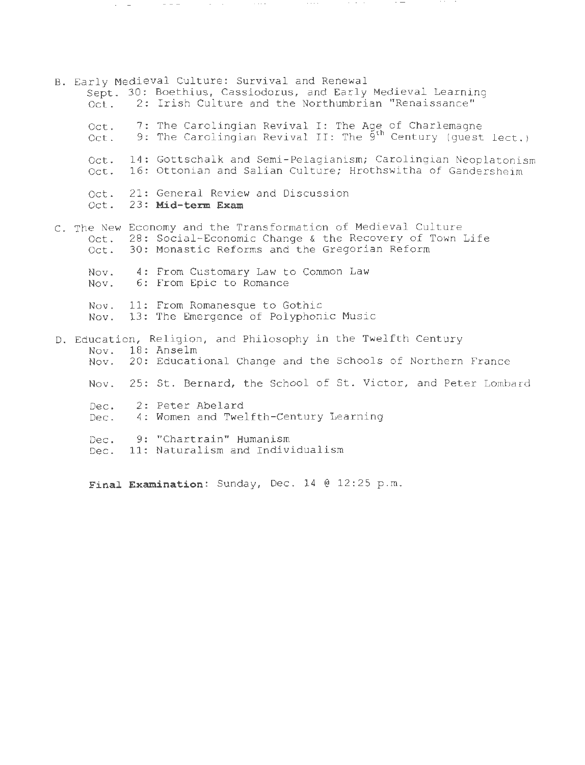| Oct.         | B. Early Medieval Culture: Survival and Renewal<br>Sept. 30: Boethius, Cassiodorus, and Early Medieval Learning<br>2: Irish Culture and the Northumbrian "Renaissance"        |
|--------------|-------------------------------------------------------------------------------------------------------------------------------------------------------------------------------|
| Oct.<br>Oct. | 7: The Carolingian Revival I: The Age of Charlemagne<br>9: The Carolingian Revival II: The $9^{th}$ Century (quest lect.)                                                     |
| Oct.<br>Oct. | 14: Gottschalk and Semi-Pelagianism; Carolingian Neoplatonism<br>16: Ottonian and Salian Culture; Hrothswitha of Gandersheim                                                  |
|              | Oct. 21: General Review and Discussion<br>Oct. 23: Mid-term Exam                                                                                                              |
| Oct.         | C. The New Economy and the Transformation of Medieval Culture<br>Oct. 28: Social-Economic Change & the Recovery of Town Life<br>30: Monastic Reforms and the Gregorian Reform |
|              | Nov. 4: From Customary Law to Common Law<br>Nov. 6: From Epic to Romance                                                                                                      |
|              | Nov. 11: From Romanesque to Gothic<br>Nov. 13: The Emergence of Polyphonic Music                                                                                              |
|              | D. Education, Religion, and Philosophy in the Twelfth Century<br>Nov. 18: Anselm<br>Nov. 20: Educational Change and the Schools of Northern France                            |
|              | Nov. 25: St. Bernard, the School of St. Victor, and Peter Lombard                                                                                                             |
| Dec.<br>Dec. | 2: Peter Abelard<br>4: Women and Twelfth-Century Learning                                                                                                                     |
| Dec.<br>Dec. | 9: "Chartrain" Humanism<br>11: Naturalism and Individualism                                                                                                                   |
|              |                                                                                                                                                                               |

 $\mathcal{C}=\mathcal{C}=\mathcal{C}$ 

 $\cdot$   $-$ 

Final Examination: Sunday, Dec. 14 @ 12:25 p.m.

where  $\mu_{\rm{max}}$  is the contract of the contract of the contract of the contract of the contract of the contract of the contract of the contract of the contract of the contract of the contract of the contract of the contr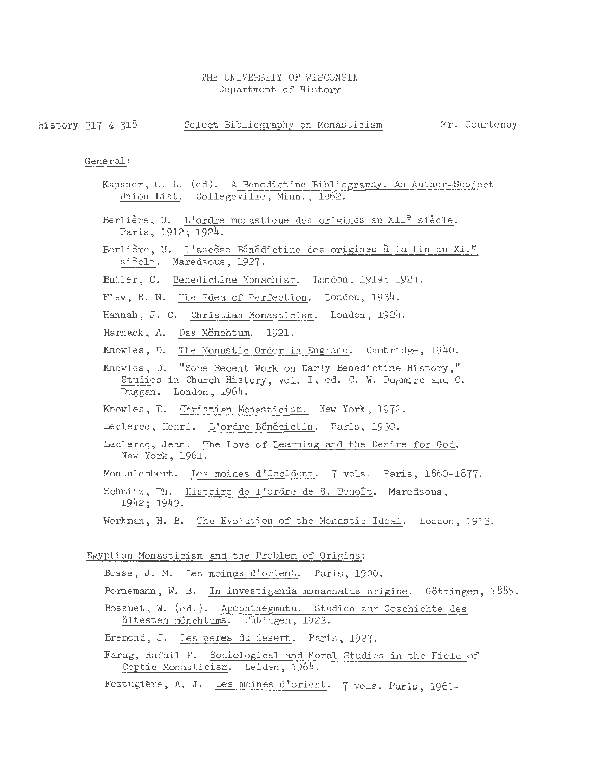## THE UNIVERSITY OF WISCONSIN Department of History

History 317 & 318 Select Bibliography on Monasticism Mr. Courtenay

General:

- Kapsner, O. L. (ed). A Benedictine Bibliography. An Author-Subject Union List. Collegeville, Minn., 1962.
- Berlière, U. L'ordre monastique des origines au XII<sup>e</sup> siècle. Paris, 1912; 1924.
- Berlière, U. L'ascèse Bénédictine des origines à la fin du XII<sup>e</sup> siècle. Maredsous, 1927.
- Butler, C. Benedictine Monachism. London, 1919; 1924.
- Flew, R. N. The Idea of Perfection. London, 1934.
- Hannah, J. C. Christian Monasticism. London, 1924.
- Harnack, A. Das Mönchtum. 1921.
- Knowles, D. The Monastic Order in England. Cambridge , 1940.
- Knowles, D. "Some Recent Work on Early Benedictine History ," Studies in Church History, vol. I, ed. C. W. Dugmore and C. Duggan. London, 1964.
- Knowles, D. Christian Monasticism. New York, 1972.
- Leclercq, Henri. L'ordre Bénédictin. Paris, 1930.
- Leclercq, Jean. The Love of Learning and the Desire for God. New York, 1961.
- Montalembert. Les moines d'Occident. 7 vols. Paris, 1860-1877.
- Schmitz, Ph. Histoire de l'ordre de B. Benoît. Maredsous, 1942; 1949 .
- Workman, H. B. The Evolution of the Monastic Ideal. London, 1913.

### Egyptian Monasticism and the Problem of Origins:

- Besse, J. M. Les moines d'orient. Paris, 1900.
- Bornemann, W. B. In investiganda monachatus origine. Göttingen, 1885.
- Bossuet, W. (ed. ). Apophthegmata. Studien zur Geschichte des ältesten mönchtums. Tübingen, 1923.
- Bremond, J. Les peres du desert. Paris, 1927.
- Farag, Rafail F. Sociological and Moral Studies in the Field of Coptic Monasticism. Leiden, 1964.
- Festugière, A. J. Les moines d'orient. 7 vols. Paris, 1961-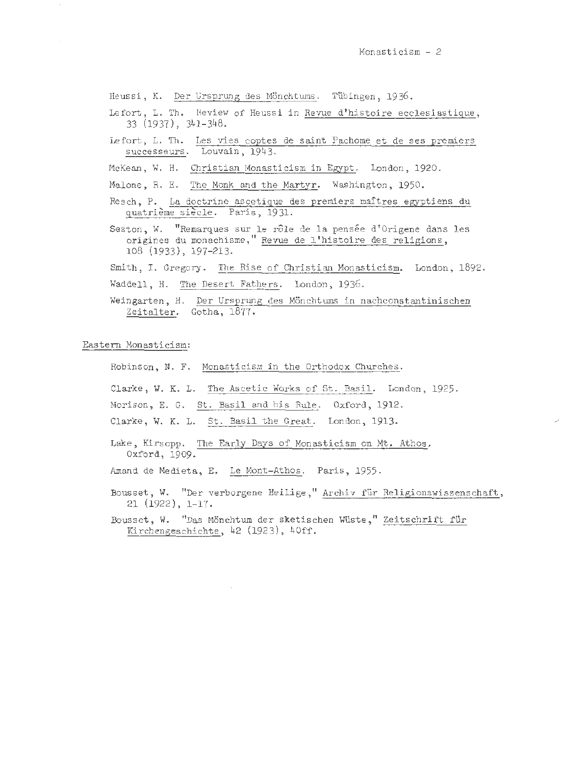Heussi, K. Der Ursprung des Mönchtums. Tübingen, 1936.

- Lefort, L. Th. Review of Heussi in Revue d'histoire ecclesiastique, 33 (1937), 341-348.
- Lefort, L. Th. Les vies coptes de saint Pachome et de ses premiers successeurs. Louvain, 1943.

McKean, W. H. Christian Monasticism in Egypt. London, 1920.

- Malone, R. E. The Monk and the Martyr. Washington, 1950 .
- Resch, P. La doctrine ascetique des premiers maitres egyptiens du quatrième siècle. Paris, 1931.
- Seston, W. "Remarques sur le rôle de la pensée d'Origene dans les origines du monachisme," Revue de 1 ' histoire des religions, 108 (1933), 197-213.

Smith, I. Gregory. The Rise of Christian Monasticism. London, 1892.

- Waddell, H. The Desert Fathers. London, 1936.
- Weingarten, H. Der Ursprung des Mönchtums in nachconstantinischen Zeitalter. Gotha, 1877.

Eastern Monasticism:

Robinson, N. F. Monasticism in the Orthodox Churches.

Clarke, W. K. L. The Ascetic Works of St. Basil. London, 1925.

Morison, E. G. St. Basil and his Rule. Oxford, 1912.

- Clarke, W. K. L. St. Basil the Great. London, 1913.
- Lake, Kirsopp. The Early Days of Monasticism on Mt. Athos. Oxford, 1909.
- Amand de Medieta, E. Le Mont-Athos. Paris, 1955.
- Bousset, W. "Der verborgene Heilige," Archiv für Religionswissenschaft, 21 (1922), 1-17.

Bousset, W. "Das Mönchtum der sketischen Wüste," Zeitschrift für Kirchengeschichte, 42 (1923), 40ff.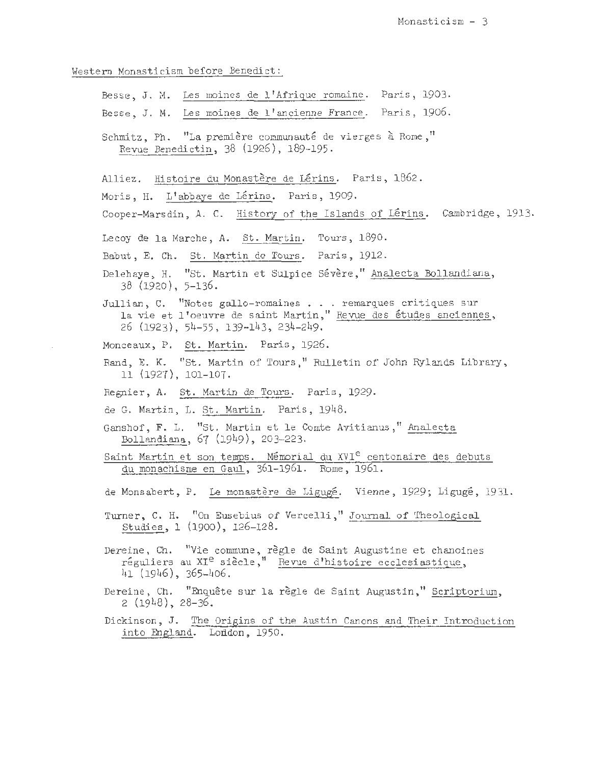Western Monasticism before Benedict:

Besse, J. M. Les moines de 1 1Afrique romaine. Paris, 1903 . Besse, J. M. Les moines de l'ancienne France. Paris, 1906. Schmitz, Ph. "La première communauté de vierges à Rome," Revue Benedictin, 38 (1926), 189-195. Alliez. Histoire du Monastère de Lérins. Paris, 1862. Moris, H. L'abbaye de Lérins. Paris, 1909. Cooper-Marsdin, A. C. History of the Islands of Lérins. Cambridge, 1913. Lecoy de la Marche, A. St. Martin. Tours, 1890. Babut, E. Ch. St. Martin de Tours. Paris, 1912. Delehaye, H. "St. Martin et Sulpice Sévère," Analecta Bollandiana, 38 (1920), 5-136. 38 (1920), 5-136.<br>Jullian, C. "Notes gallo-romaines . . . remarques critiques sur la vie et l'oeuvre de saint Martin," Revue des études anciennes, 26 (1923), 54-55 , 139-143, 234-249. Monceaux, P. St. Martin. Paris, 1926. Rand, E. K. "St. Martin of Tours," Rul1etin of John Ry1ands Library, 11 (1927), 101-107. Regnier, A. St. Martin de Tours. Paris, 1929. de G. Martin, L. St. Martin. Paris, 1948. Ganshof, F. L. "St. Martin et le Comte Avitianus," Analecta Bollandiana, 67 (1949), 203-223. Saint Martin et son temps. Mémorial du XVI<sup>e</sup> centenaire des debuts du monachisme en Gaul, 361-1961. Rome, 1961. de Monsabert, P. Le monastère de Ligugé. Vienne, 1929; Ligugé, 1931. Turner, C. H. "On Eusebius of Vercelli," Journal of Theological Studies , 1 (1900) , 126-128. Dereine, Ch. "Vie commune, regle de Saint Augustine et chanoines réguliers au  $XI^e$  siècle," Revue d'histoire ecclesiastique, 41 (1946), 365-406. Dereine, Ch. "Enquête sur la règle de Saint Augustin," Scriptorium,  $2(1948), 28-36.$ Dickinson, J. The Origins of the Austin Canons and Their Introduction into England. Loddon, 1950.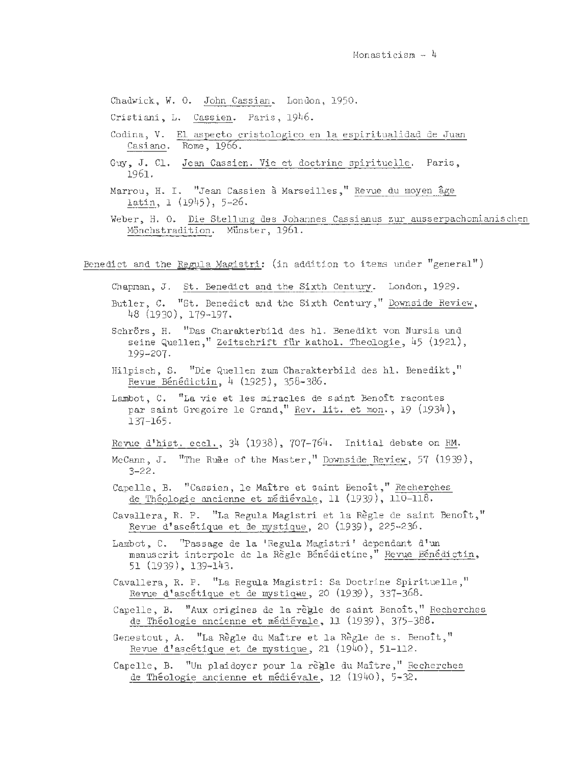Chadwick, W. O. John Cassian. London, 1950.

Cristiani, L. Cassien. Paris, 1946.

- Codina, V. El aspecto cristologico en la espiritualidad de Juan Casiano. Rome, 1966.
- Guy, J. Cl. Jean Cassien. Vie et doctrine spirituelle. Paris, 1961.
- Marrou, H. I. "Jean Cassien à Marseilles," Revue du moyen âge latin, 1 (1945), 5-26.
- Weber, H. 0. Die Stellung des Johannes Cassianus zur ausserpachomianischen Mönchstradition. Münster, 1961.

Benedict and the Regula Magistri: (in addition to items under "general")

- Chapman, J. St. Benedict and the Sixth Century. London, 1929.
- Butler, C. "St. Benedict and the Sixth Century," Downside Review, 48 (1930), 179-197.
- Schrörs, H. "Das Charakterbild des hl. Benedikt von Nursia und seine Quellen," Zeitschrift für kathol. Theologie, 45 (1921), 199-207.
- Hilpisch, S. "Die Quellen zum Charakterbild des hl. Benedikt," Revue Bénédictin, 4 (1925), 358-386.
- Lambot, C. "La vie et les miracles de saint Benoît racontes par saint Gregoire le Grand," Rev. lit. et mon., 19 (1934), 137-165.
- Revue d'hist. eccl., 34 (1938), 707-764. Initial debate on RM.
- McCann, J. <sup>11</sup>The Rule of the Master," Downside Review, 57 (1939), 3-22.
- Capelle, B. "Cassien, le Maître et saint Benoît," Recherches de Théologie ancienne et médiévale, 11 (1939), 110-118.
- Cavallera, R. P. "La Regula Magistri et la Règle de saint Benoît," Revue d'ascétique et de mystique, 20 (1939), 225-236.
- Lambot, C. "Passage de la 'Regula Magistri' dependant d'un manuscrit interpole de la Règle Bénédictine," Revue Bénédictin, 51 (1939), 139-143.
- Cavallera, R. P. "La Regula Magistri: Sa Doctrine Spirituelle," Revue d'ascétique et de mystique, 20  $(1939)$ , 337-368.
- Capelle, B. "Aux origines de la règle de saint Benoît," Recherches de Théologie ancienne et médiévale, 11 (1939), 375-388.
- Genestout, A. "La Règle du Maître et la Règle de s. Benoît," Revue d'ascétique et de mystique, 21 (1940), 51-112.
- Capelle, B. "Un plaidoyer pour la règle du Maître," Recherches de Théologie ancienne et médiévale, 12 (1940), 5-32.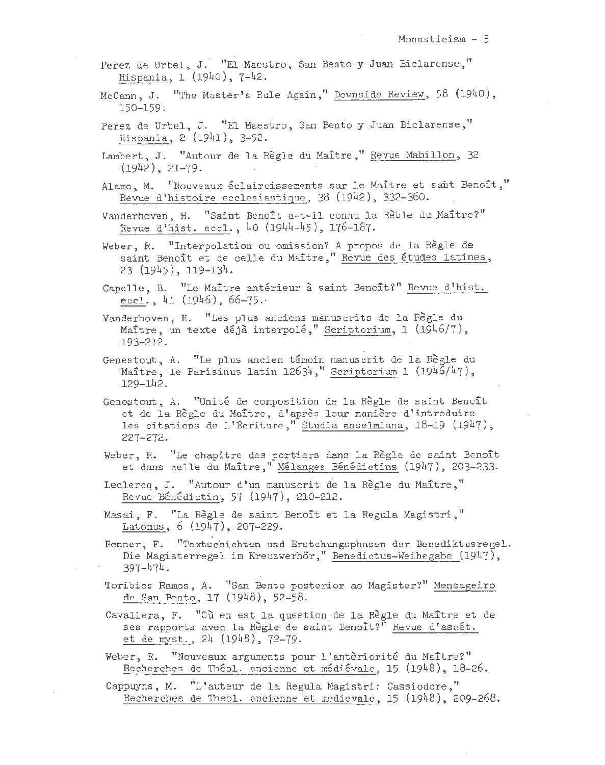- Perez de Urbel, J. "El Maestro, San Bento y Juan Biclarense," Hispania, l (1940), 7-42.
- McCann, J. "The Master's Rule Again," Downside Review, 58 (1940), 150-159~
- Perez de Urbel, J. "El Maestro, San Bento y Juan Biclarense," Hispania, 2 (1941), 3-52.
- Lambert, J. "Autour de la Regle du Maitre," Revue Mabillon, 32  $(1942), 21-79.$
- Alamo, M. "Nouveaux éclaircissements sur le Maître et sant Benoît," Revue d'histoire ecclesiastique, 38 (1942), 332-360.

Vanderhoven, H. "Saint Benoît a-t-il connu la Rèble du Maître?" Revue d'hist. eccl., 40 (1944-45), 176-187.

Weber, R. "Interpolation ou omission? A propos de la Regle de saint Benoît et de celle du Maître," Revue des études latines, 23 (1945}, 119-134.

Capelle, B. "Le Maître antérieur à saint Benoît?" Revue d'hist. eccl., 41 (1946),  $66-75.$ 

Vanderhoven, H. "Les plus anciens manuscrits de la Règle du Maître, un texte déjà interpolé," Scriptorium, l  $(1946/7)$ , 193-212.

- Genestout, A. "Le plus ancien témoin manuscrit de la Règle du Maître, le Parisinus latin 12634," Scriptorium 1 (1946/47), 129-142.
- Genestout, A. "Unité de composition de la Règle de saint Benoît et de la Regle du Maitre, d 1 apres leur maniere d' introduire les citations de l'Écriture," Studia anselmiana, 18-19 (1947), 227-272.
- Weber, R. "Le chapitre des portiers dans la Règle de saint Benoît et dans celle du Maître," Mélanges Bénédictins (1947), 203-233.
- Leclercq, J. "Autour d'un manuscrit de la Règle du Maître," Revue Bénédictin, 57  $(1947)$ , 210-212.

Masai, F. "La Règle de saint Benoît et la Regula Magistri," Latomus, 6 (1947), 207-229.

Renner, F. "Textschichten und Erstehungsphasen der Benediktusregel. Die Magisterregel im Kreuzwerhör," Benedictus-Weihegabe (1947), 397-474.

- Toribios Ramos, A. "San Bento posterior ao Magister?" Mensageiro de San Bento, 17 (1948), 52-58.
- Cavallera, F. "Où en est la question de la Règle du Maître et de ses rapports avec la Règle de saint Benoît?" Revue d'ascét. et de myst., 24 (1948), 72-79.
- Weber, R. "Nouveaux arguments pour l'antèriorité du Maître?" Recherches de Théol. ancienne et médiévale, 15 (1948), 18-26.
- Cappuyns, M. "L 1 auteur de la Regula Magistri: Cassiodore," Recherches de Theol. ancienne et medievale, 15 (1948), 209-268.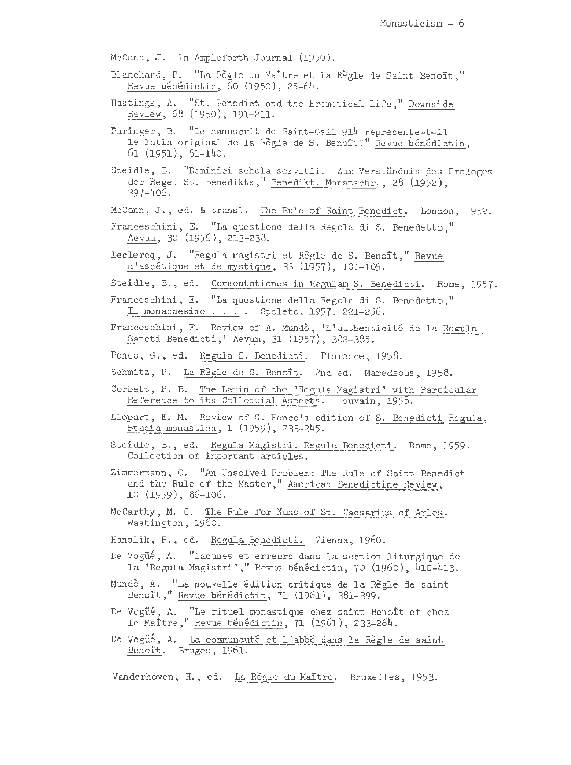McCann, J. in Ampleforth Journal (1950) .

- Blanchard, P. "La Règle du Maître et la Règle de Saint Benoît," Revue benedictin, 60 (1950), 25-64.
- Hastings, A. "St. Benedict and the Eremetical Life," Downside Review, 68 (1950), 191-211.
- Paringer, B. "Le manuscrit de Saint-Gall 914 represente-t-il le latin original de la Règle de S. Benoît?" Revue bénédictin, 61 (1951), 81-140.
- Steidle, B. "Dominici schola servitii. Zum Verständnis des Prologes der Regel St. Benedikts," Benedikt. Monatschr., 28 (1952), 397-406.
- McCann, J., ed. & transl. The Rule of Saint Benedict. London, 1952.
- Franceschini, E. "La questione della Regola di S. Benedetto," Aevum, 30 (1956), 213-238.
- Leclercq, J. "Regula magistri et Règle de S. Benoît," Revue d'ascetique et de mystique, 33 (1957), 101-105.
- Steidle, B., ed. Commentationes in Regulam S. Benedicti. Rome, 1957.
- Franceschini, E. "La questione della Regola di S. Benedetto," Il monachesimo . . . . Spoleto, 1957, 221-256.
- Franceschini, E. Review of A. Mundò, 'L'authenticité de la Regula Sancti Benedicti,' Aevum, 31 (1957), 382-385.
- Penco, G., ed. Regula S. Benedicti. Florence, 1958.
- Schmitz, P. La Règle de S. Benoît. 2nd ed. Maredsous, 1958.
- Corbett, P. B. The Latin of the 'Regula Magistri' with Particular Reference to its Colloquial Aspects. Louvain, 1958.
- Llopart, E. M. Review of G. Penco's edition of S. Benedicti Regula, Studia monastica, l (1959), 233-245.
- Steidle, B., ed. Regula Magistri. Regula Benedicti. Rome, 1959. Collection of important articles.
- Zimmermann, O. "An Unsolved Problem: The Rule of Saint Benedict and the Rule of the Master," American Benedictine Review, 10 (1959), 86-106.
- McCarthy, M. C. The Rule for Nuns of St. Caesarius of Arles. Washington, 1960.
- Hanslik, R., ed. Regula Benedicti. Vienna, 1960.
- De Vogüé, A. "Lacunes et erreurs dans la section liturgique de la 'Regula Magistri'," Revue bénédictin, 70 (1960), 410-413.
- Mundò, A. "La nouvelle édition critique de la Règle de saint Benoît," Revue bénédictin, 71 (1961), 381-399.
- De Vogüé, A. "Le rituel monastique chez saint Benoît et chez le Maître," Revue bénédictin, 71 (1961), 233-264.
- De Vogüé, A. La communauté et l'abbé dans la Règle de saint Benoit. Bruges, 1961.

Vanderhoven, H., ed. La Règle du Maître. Bruxelles, 1953.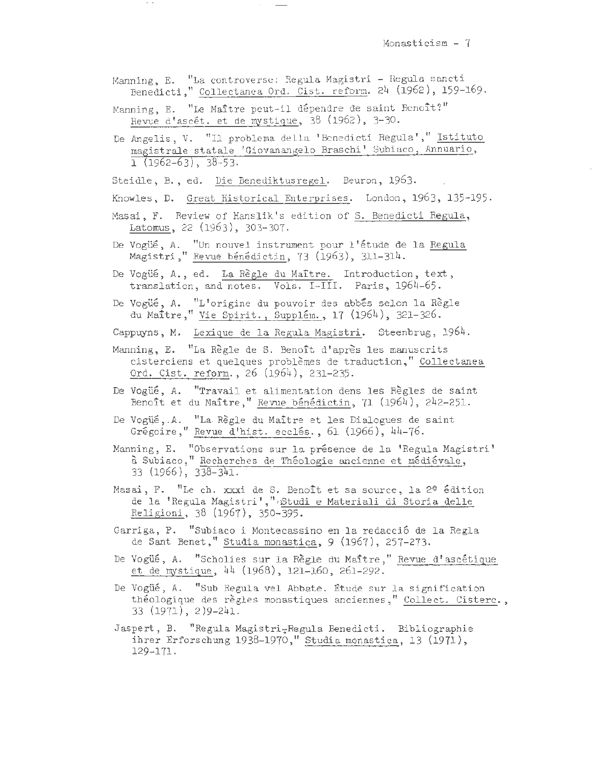- Manning, E. "La controverse: Regula Magistri Regula sancti Benedicti," Collectanea Ord. Cist. reform. 24 (1962), 159-169.
- Manning, E. "Le Maître peut-il dépendre de saint Benoît?" Revue d'ascet. et de mystique, 38 (1962), 3-30.
- De Angelis, V. "Il problema della 'Benedicti Regula'," Istituto magistrale statale 'Giovanangelo Braschi' Subiaco, Annuario,  $1$  (1962-63), 38-53.

Steidle, B., ed. Die Benediktusregel. Beuron, 1963.

Knowles, D. Great Historical Enterprises. London, 1963, 135-195.

- Masai, F. Review of Hanslik's edition of S. Benedicti Regula, Latomus, 22 (1963), 303-307.
- De Vogüé, A. "Un nouvel instrument pour l'étude de la Regula Magistri," Revue bénédictin, 73 (1963), 311-314.
- De Vogüé, A., ed. La Règle du Maître. Introduction, text, translation, and notes. Vols. I-III. Paris, 1964-65.
- De Vogüé, A. "L'origine du pouvoir des abbés selon la Règle du Maitre," Vie Spirit., Supplem., 17 (1964), 321-326.

Cappuyns, M. Lexique de la Regula Magistri. Steenbrug, 1964.

- Manning, E. "La Règle de S. Benoît d'après les manuscrits cisterciens et quelques problemes de traduction," Collectanea Ord. Cist. reform. , 26 (1964), 231-235.
- De Vogue, A. "Travail et alimentation dens les Règles de saint Benoît et du Maître," Revue bénédictin, 71 (1964), 242-251.
- De Vogüé, .A. "La Règle du Maître et les Dialogues de saint Grégoire," Revue d'hist. ecclés., 61 (1966), 44-76.
- Manning, E. "Observations sur la présence de la 'Regula Magistri' à Subiaco," Recherches de Théologie ancienne et médiévale,  $33(1966), 338-341.$
- Masai, F. "Le ch. xxxi de S. Benoît et sa source, la 2<sup>e</sup> édition de la 'Regula Magistri', " »Studi e Materiali di Storia delle Religioni, 38 (1967), 350-395.
- Garriga, P. <sup>"</sup>Subiaco i Montecassino en la redacció de la Regla de Sant Benet," Studia monastica, 9 (1967), 257-273.
- De Vogüé, A. "Scholies sur la Règle du Maître," Revue d'ascétique et de mystique, 44 (1968), 121-160, 261-292.
- De Vogüé, A. "Sub Regula vel Abbate. Etude sur la signification theologique des regles monastiques anciennes," Collect. Cisterc. , ·33 (1971), 2)9-241.
- Jaspert, B. "Regula Magistri-Regula Benedicti. Bibliographie ihrer Erforschung 1938-1970," Studia monastica, 13  $(1971)$ , 129-171.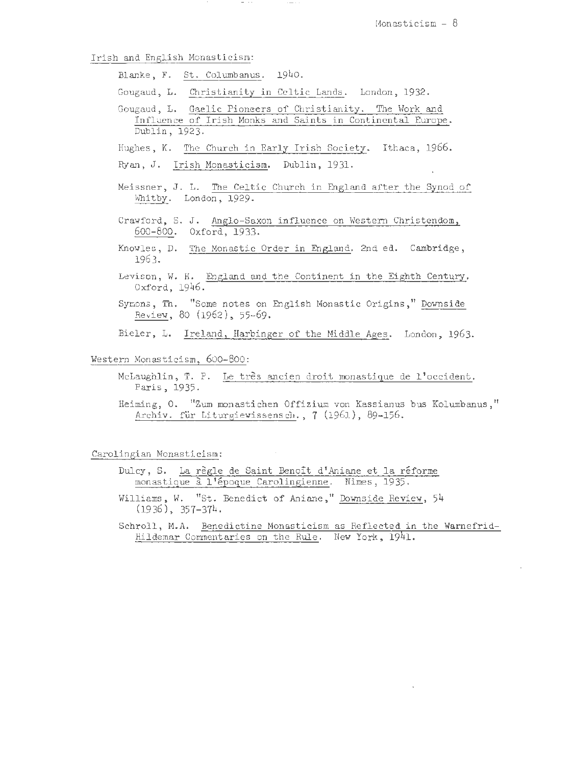Irish and English Monasticism:

Blanke, F. St. Columbanus. 1940.

Gougaud, L. Christianity in Celtic Lands. London, 1932 .

Gougaud, L. Gaelic Pioneers of Christianity. The Work and Influence of Irish Monks and Saints in Continental Europe. Dublin, 1923.

- Ryan, J. Irish Monasticism. Dublin, 1931.
- Meissner, J. L. The Celtic Church in England after the Synod of Whitby. London, 1929.
- Crawford, S. J. Anglo-Saxon influence on Western Christendom, 600-800. Oxford, 1933.
- Knowles, D. The Monastic Order in England. 2nd ed. Cambridge, 1963.
- Levison, W. H. England and the Continent in the Eighth Century. Oxford, 1946 .
- Symons, Th. "Some notes on English Monastic Origins," Downside Review, 80 (1962), 55-69.

Bieler, L. Ireland, Harbinger of the Middle Ages. London, 1963.

Western Monasticism, 600-800:

- McLaughlin, T. P. Le très ancien droit monastique de l'occident. Paris, 1935.
- Heiming, 0. "Zum monastichen Offizium von Kassianus bus Kolumbanus , " Archiv. für Liturgiewissensch., 7 (1961), 89-156.

Carolingian Monasticism:

- Dulcy, S. La règle de Saint Benoît d'Aniane et la réforme monastique à l'époque Carolingienne. Nimes, 1935.
- Williams , W. "St. Benedict of Aniane," Downside Review , 54 (1936), 357-374 .
- Schroll, M.A. Benedictine Monasticism as Reflected in the Warnefrid-Hildemar Commentaries on the Rule. New York, 1941.

Hughes, K. The Church in Early Irish Society. Ithaca, 1966.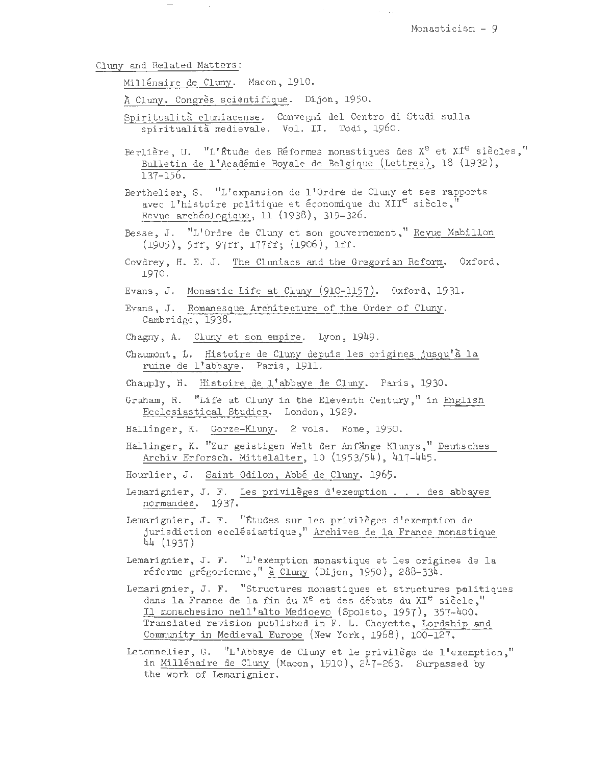#### Cluny and Related Matters:

Millenaire de Cluny. Macon, 1910.

 $\sim$   $\sim$ 

- <sup>~</sup>Cluny. Congres scientifique. Dijon, 1950.
- Spiritualita cluniacense. Convegni del Centro di Studi sulla spiritualità medievale. Vol. II. Todi, 1960.
- Berlière, U. "L'Étude des Réformes monastiques des X<sup>e</sup> et XI<sup>e</sup> siècles," Bulletin de l'Academie Royale de Belgique (Lettres), 18 (1932), 137-156 .
- Berthelier, S. "L'expansion de l'Ordre de Cluny et ses rapports avec l'histoire politique et économique du XII<sup>e</sup> siècle, Revue archéologique, 11 (1938), 319-326.
- Besse, J. "L'Ordre de Cluny et son gouvernement," Revue Mabillon (1905), 5ff, 97ff, l77ff; (1906), lff.
- Cowdrey, H. E. J. The Cluniacs and the Gregorian Reform. Oxford, 1970.
- Evans, J. Monastic Life at Cluny (910-1157) . Oxford, 1931.
- Evans, J. Romanesque Architecture of the Order of Cluny. Cambridge, 1938.
- Chagny, A. Cluny et son empire. Lyon, 1949.
- Chaumont, L. Histoire de Cluny depuis les origines jusqu'a la ruine de l'abbaye. Paris, 1911.
- Chauply, H. Histoire de l'abbaye de Cluny. Paris, 1930.
- Graham, R. "Life at Cluny in the Eleventh Century," in English Ecclesiastical Studies. London, 1929.
- Hallinger, K. Gorze-Kluny. 2 vols. Rome, 1950.
- Hallinger, K. "Zur geistigen Welt der Anfänge Klunys," Deutsches Archiv Erforsch. Mittelalter, 10 (1953/54), 417-445 .
- Hourlier, J. Saint Odilon, Abbe de Cluny. 1965.
- Lemarignier, J. F. Les privileges d ' exemption ... des abbayes normandes. 1937.
- Lemarignier, J. F. "Études sur les privilèges d'exemption de jurisdiction ecclésiastique," Archives de la France monastique 44 (1937)
- Lemarignier., J. F. "L'exemption monastique et 1es origines de la réforme grégorienne," à Cluny (Dijon, 1950), 288-334.
- Lemarignier, J. F. "Structures monastiques et structures politiques dans la France de la fin du  $X^e$  et des débuts du  $XI^e$  siècle," Il monachesimo nell <sup>1</sup> alto Medioevo (Spoleto, 1957), 357-400. Translated revision published ih F. L. Cheyette, Lordship and Community in Medieval Europe (New York, 1968), 100-127.
- Letonnelier, G. "L'Abbaye de Cluny et le privilege de l'exemption," in Millénaire de Cluny (Macon, 1910), 247-263. Surpassed by the work of Lemarignier.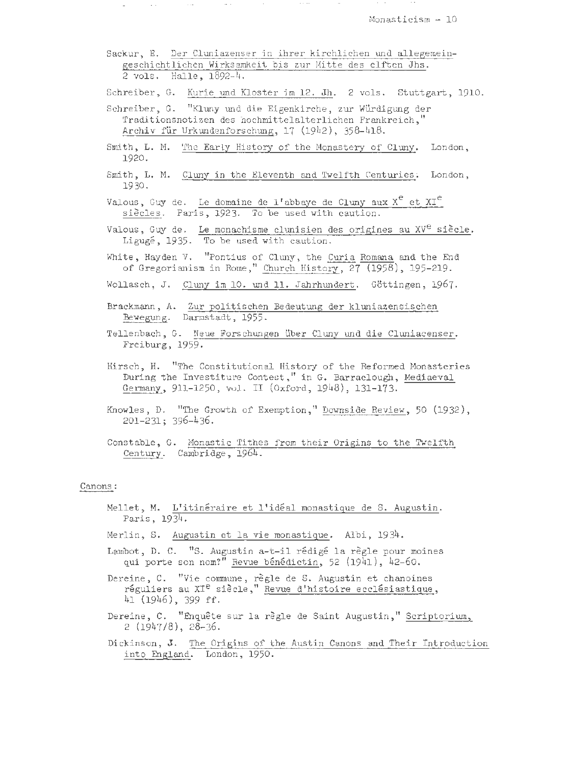Sackur, E. Der Cluniazenser in ihrer kirchlichen und allegemeingeschichtlichen Wirksamkeit bis zur Mitte des elften Jhs. 2 vols. Halle, 1892-4.

Schreiber, G. Kurie und Kloster im 12. Jh. 2 vols. Stuttgart, 1910.

 $\sim$  100  $\pm$  100  $\pm$ 

Schreiber, G. "Kluny und die Eigenkirche, zur Würdigung der Traditionsnotizen des hochmittelalterlichen Frankreich," Archiv fur Urkundenforschung, 17 (1942), 358-418.

 $\mathcal{L}_{\mathcal{A}}$  , and  $\mathcal{L}_{\mathcal{A}}$  , and  $\mathcal{L}_{\mathcal{A}}$  , and  $\mathcal{L}_{\mathcal{A}}$  , and  $\mathcal{L}_{\mathcal{A}}$ 

- Smith, L. M. 'The Early History of the Monastery of Cluny. London, 1920.
- Smith, L. M. Cluny in the Eleventh and Twelfth Centuries. London, 1930.
- Valous, Guy de. Le domaine de l'abbaye de Cluny aux  $X^e$  et  $XI^e$ siècles. Paris, 1923. To be used with caution.
- Valous, Guy de. Le monachisme clunisien des origines au XV<sup>e</sup> siècle. Ligugé, 1935. To be used with caution.
- White, Hayden V. "Pontius of Cluny, the Curia Romana and the End of Gregorianism in Rome," Church History,  $27$   $(1958)$ , 195-219.
- Wollasch, J. Cluny im 10. und 11. Jahrhundert. Göttingen, 1967.
- Brackmann, A. Zur politischen Bedeutung der kluniazensischen Bewegung. Darmstadt, 1955 .
- Tellenbach, G. Neue Forschungen über Cluny und die Cluniacenser. Freiburg, 1959.
- Hirsch, H. "The Constitutional History of the Reformed Monasteries During the Investiture Contest," in G. Barraclough, Mediaeval Germany, 911-1250, vol . II (Oxford, 1948), 131-173.
- Knowles, D. "The Growth of Exemption, " Downside Review, 50 (1932), 201-231; 396-436.
- Constable, G. Monastic Tithes from their Origins to the Twelfth Century. Cambridge, 1964 .

## Canons:

- Mellet, M. L'itinéraire et l'idéal monastique de S. Augustin. Paris, 1934.
- Merlin, S. Augustin et la vie monastigue. Albi, 1934.
- Lambot, D. C. "S. Augustin a-t-il rédigé la règle pour moines qui porte son nom?" Revue bénédictin, 52 (1941), 42-60.
- Dereine, C. "Vie commune, règle de S. Augustin et chanoines réguliers au XI<sup>e</sup> siècle," Revue d'histoire ecclésiastique, 41 (1946), 399 ff.
- Dereine, C. "Enquête sur la règle de Saint Augustin," Scriptorium, 2 (1947/8), 28-36.
- Dickinson, J. The Origins of the Austin Canons and Their Introduction into England. London, 1950.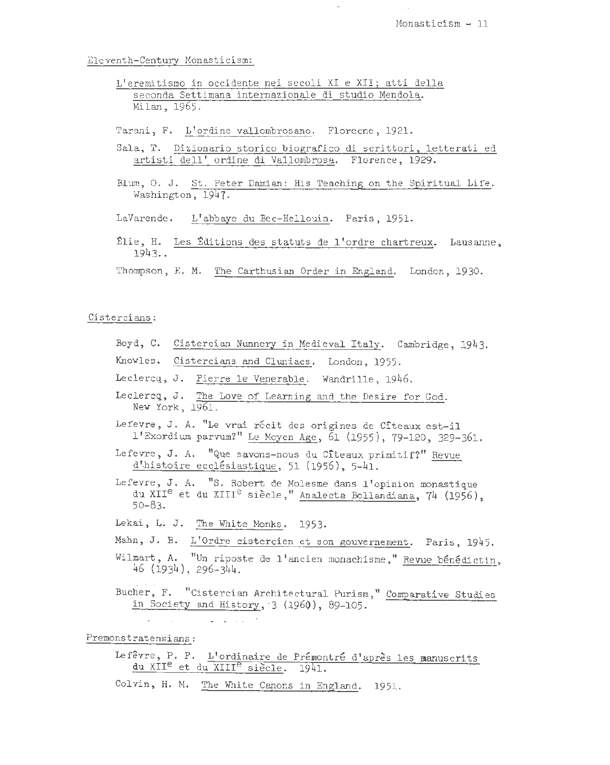El eventh-Century Monasticism:

- L'eremitismo in occidente nei secoli XI e XII; atti della seconda Settimana internazionale di studio Mendola. Milan, 1965.
- Tarani, F. L'ordine vallombrosano. Florecne, 1921.
- Sala, T. Dizionario storico biografico di scrittori, letterati ed artisti dell' ordine di Vallombrosa. Florence, 1929.
- Blum, O. J. St. Peter Damian: His Teaching on the Spiritual Life. Washington, 1947.
- LaVarende. L'abbaye du Bec-Hellouin. Paris, 1951.
- ~lie, H. Les ~ditions des statuts de l'ordre chartreux. Lausanne, 1943 ..
- Thompson, E. M. The Carthusian Order in England. London, 1930.

#### Cistercians:

- Boyd, C. Cistercian Nunnery in Medieval Italy. Cambridge, 1943.
- Knowles. Cistercians and Cluniacs. London, 1955.
- Leclercq, J. Pierre le Venerable. Wandrille, 1946.
- Leclercq, J. The Love of Learning and the Desire for God. New York, 1961.
- Lefevre, J. A. "Le vrai récit des origines de Cîteaux est-il l'Exordium parvum?" Le Moyen Age, 61 (1955), 79-120, 329-361.
- Lefevre, J. A. "Que savons-nous du Citeaux primitif?" Revue  $d'$ histoire ecclésiastique, 51 (1956), 5-41.
- Lefevre, J. A. "S. Robert de Molesme dans l 'opinion monastique du XII<sup>e</sup> et du XIII<sup>e</sup> siècle, "Analecta Bollandiana, 74 (1956). 50-83.
- Lekai, L. J. The White Monks. 1953.

 $\mathcal{L}^{\mathcal{L}}$  , and  $\mathcal{L}^{\mathcal{L}}$  , and  $\mathcal{L}^{\mathcal{L}}$  , and  $\mathcal{L}^{\mathcal{L}}$ 

- Mahn, J. B. L'Ordre cistercien et son gouvernement. Paris, 1945.
- Wilmart, A. "Un riposte de l'ancien monachisme," Revue bénédictin, 46 (1934), 296-344.
- Bucher, F. "Cistercian Architectural Purism," Comparative Studies in Society and History, 3 (1960), 89-105.

Premonstratensians:

 $\mathcal{L}_{\mathbf{z}}$  , and  $\mathcal{L}_{\mathbf{z}}$  , and

- Lefêvre, P. F. L'ordinaire de Prémontré d'après les manuscrits du XII<sup>e</sup> et du XIII<sup>e</sup> siècle. 1941.
- Colvin, H. M. The White Canons in England. 1951.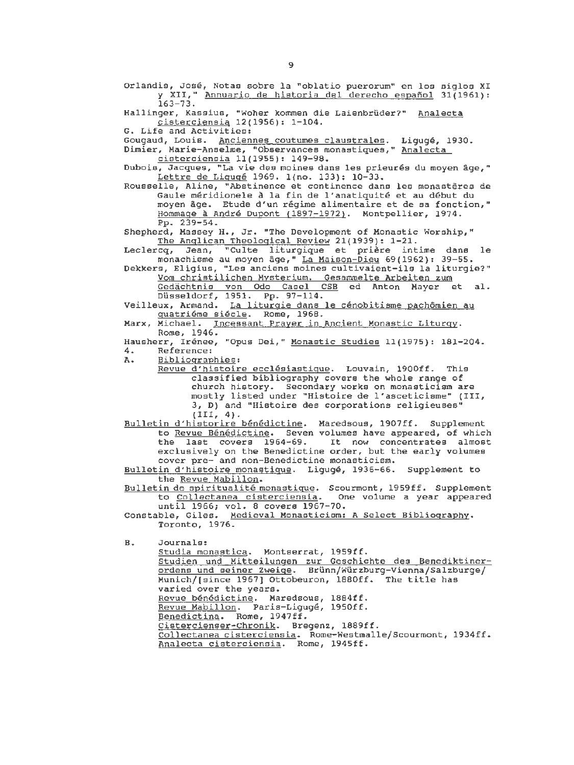Orlandis, Jose, Notas sobre la "oblatio puerorum" en los siglos XI y XII," Annuario de historia del derecho espafiol 31(1961): 163-73.

Hallinger, Kassius, "Woher kommen die Laienbrüder?" Analecta cisterciensia 12(1956): 1-104.

G. Life and Activities:

Gougaud, Louis. Anciennes coutumes claustrales. Liguge, 1930.

Dimier, Marie-Anselme, "Observances monastiques," Analecta cisterciensia 11(1955): 149-98.

Dubois, Jacques, "La vie des moines dans les prieurés du moyen âge," Lettre de Liguge 1969. 1(no. 133): 10-33.

Rousselle, Aline, "Abstinence et continence dans les monasteres de Gaule méridionele à la fin de l'anatiquité et au début du moyen age. Etude d'un regime alimentaire et de sa fonction," Hommage à André Dupont (1897-1972). Montpellier, 1974. Pp. 239-54.

Shepherd, Massey H., Jr. "The Development of Monastic Worship," The Anglican Theological Review 21(1939): 1-21.

Leclercq, Jean, "Culte liturgique et prière intime dans monachisme au moyen age," La Maison-Dieu 69(1962): 39-55.

Dekkers, Eligius, "Les anciens moines cultivaient-ils la liturgie?" Vom christilichen Mvsterium. Gesammelte Arbeiten zum **Von Christiichen Aysterium.** Gesammelde Albelden zum Gedächtnis von Odo Casel CSB<br>Düsseldorf, 1951. Pp. 97-114.

Veilleux, Armand. La liturgie dans le cénobitisme pachômien au guatrieme siecle. Rome, 1968.

Marx, Michael. Incessant Prayer in Ancient Monastic Liturgy. Rome, 1946.

Hausherr, Irénee, "Opus Dei," <u>Monastic Studies</u> 11(1975): 181-204. 4. Reference:<br>A. Bibliograp

Bibliographies:

Revue d'histoire ecclésiastique. Louvain, 1900ff. This classified bibliography covers the whole range of church history. Secondary works on monasticism are mostly listed under "Histoire de l'asceticisme" (III, *3,* D) and "Histoire des corporations religieuses"  $(III, 4).$ 

Bulletin d'historire benedictine. Maredsous, 1907ff. Supplement to Revue Bénédictine. Seven volumes have appeared, of which<br>the last covers 1964-69. It now concentrates almost It now concentrates almost exclusively on the Benedictine order, but the early volumes cover pre- and non-Benedictine monasticism.

Bulletin d'histoire monastique. Ligugé, 1936-66. Supplement to the Revue Mabillon.

Bulletin de spiritualite monastigue. Scourmont, 1959ff. Supplement to Collectanea cisterciensia. One volume a year appeared until 1966; vol. 8 covers 1967-70.

Constable, Giles. Medieval Monasticism: A Select Bibliography. Toronto, 1976.

B. Journals:

Studia monastica. Montserrat, 1959ff. Studien und Mitteilungen zur Geschichte des Benediktinerordens und seiner Zweige. Brünn/Würzburg-Vienna/Salzburge/ Munich/[since 1967) Ottobeuron, 1880ff. The title has varied over the years. Revue bénédictine. Maredsous, 1884ff. Revue Mabillon. Paris-Ligugé, 1950ff. Benedictina. Rome, 1947ff. Cistercienser-chronik. Bregenz, 1889ff. Collectanea cisterciensia. Rome-Westmalle/Scourmont, 1934ff. Analecta cisterciensia. Rome, 1945ff.